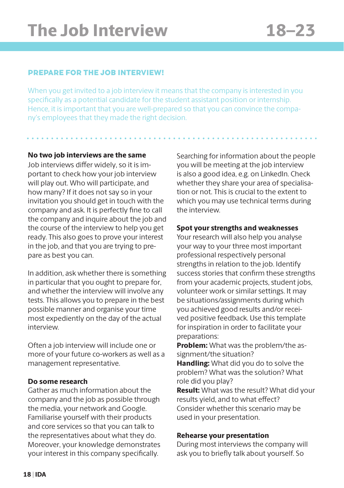# **PDEPADE FOR THE JOB INTERVIEW!**

When you get invited to a job interview it means that the company is interested in you specifically as a potential candidate for the student assistant position or internship. Hence, it is important that you are well-prepared so that you can convince the company's employees that they made the right decision.

## **No two job interviews are the same**

Job interviews differ widely, so it is important to check how your job interview will play out. Who will participate, and how many? If it does not say so in your invitation you should get in touch with the company and ask. It is perfectly fine to call the company and inquire about the job and the course of the interview to help you get ready. This also goes to prove your interest in the job, and that you are trying to prepare as best you can.

In addition, ask whether there is something in particular that you ought to prepare for, and whether the interview will involve any tests. This allows you to prepare in the best possible manner and organise your time most expediently on the day of the actual interview.

Often a job interview will include one or more of your future co-workers as well as a management representative.

## **Do some research**

Gather as much information about the company and the job as possible through the media, your network and Google. Familiarise yourself with their products and core services so that you can talk to the representatives about what they do. Moreover, your knowledge demonstrates your interest in this company specifically.

Searching for information about the people you will be meeting at the job interview is also a good idea, e.g. on LinkedIn. Check whether they share your area of specialisation or not. This is crucial to the extent to which you may use technical terms during the interview.

# **Spot your strengths and weaknesses**

Your research will also help you analyse your way to your three most important professional respectively personal strengths in relation to the job. Identify success stories that confirm these strengths from your academic projects, student jobs, volunteer work or similar settings. It may be situations/assignments during which you achieved good results and/or received positive feedback. Use this template for inspiration in order to facilitate your preparations:

**Problem:** What was the problem/the assignment/the situation?

**Handling:** What did you do to solve the problem? What was the solution? What role did you play?

**Result:** What was the result? What did your results yield, and to what effect? Consider whether this scenario may be used in your presentation.

## **Rehearse your presentation**

During most interviews the company will ask you to briefly talk about yourself. So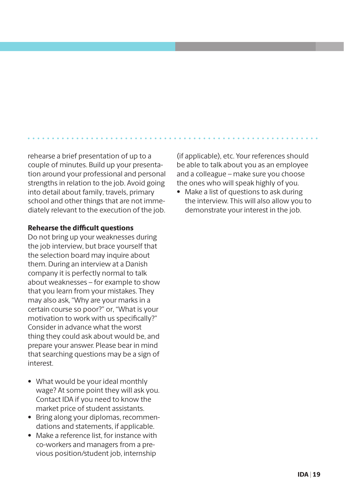rehearse a brief presentation of up to a couple of minutes. Build up your presentation around your professional and personal strengths in relation to the job. Avoid going into detail about family, travels, primary school and other things that are not immediately relevant to the execution of the job.

#### **Rehearse the difficult questions**

Do not bring up your weaknesses during the job interview, but brace yourself that the selection board may inquire about them. During an interview at a Danish company it is perfectly normal to talk about weaknesses – for example to show that you learn from your mistakes. They may also ask, "Why are your marks in a certain course so poor?" or, "What is your motivation to work with us specifically?" Consider in advance what the worst thing they could ask about would be, and prepare your answer. Please bear in mind that searching questions may be a sign of interest.

- What would be your ideal monthly wage? At some point they will ask you. Contact IDA if you need to know the market price of student assistants.
- Bring along your diplomas, recommendations and statements, if applicable.
- Make a reference list, for instance with co-workers and managers from a previous position/student job, internship

(if applicable), etc. Your references should be able to talk about you as an employee and a colleague – make sure you choose the ones who will speak highly of you.

• Make a list of questions to ask during the interview. This will also allow you to demonstrate your interest in the job.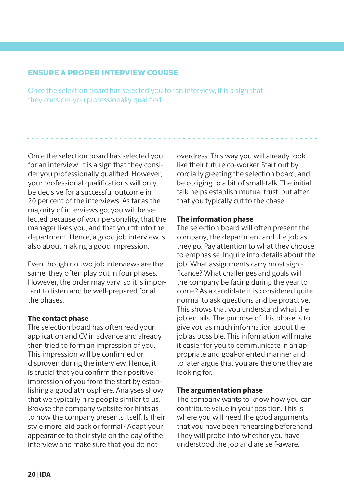## **ENSUDE A PROPER INTERVIEW COUPSE**

Once the selection board has selected you for an interview, it is a sign that they consider you professionally qualified.

Once the selection board has selected you for an interview, it is a sign that they consider you professionally qualified. However, your professional qualifications will only be decisive for a successful outcome in 20 per cent of the interviews. As far as the majority of interviews go, you will be selected because of your personality, that the manager likes you, and that you fit into the department. Hence, a good job interview is also about making a good impression.

Even though no two job interviews are the same, they often play out in four phases. However, the order may vary, so it is important to listen and be well-prepared for all the phases.

## **The contact phase**

The selection board has often read your application and CV in advance and already then tried to form an impression of you. This impression will be confirmed or disproven during the interview. Hence, it is crucial that you confirm their positive impression of you from the start by establishing a good atmosphere. Analyses show that we typically hire people similar to us. Browse the company website for hints as to how the company presents itself. Is their style more laid back or formal? Adapt your appearance to their style on the day of the interview and make sure that you do not

overdress. This way you will already look like their future co-worker. Start out by cordially greeting the selection board, and be obliging to a bit of small-talk. The initial talk helps establish mutual trust, but after that you typically cut to the chase.

## **The information phase**

The selection board will often present the company, the department and the job as they go. Pay attention to what they choose to emphasise. Inquire into details about the job. What assignments carry most significance? What challenges and goals will the company be facing during the year to come? As a candidate it is considered quite normal to ask questions and be proactive. This shows that you understand what the job entails. The purpose of this phase is to give you as much information about the job as possible. This information will make it easier for you to communicate in an appropriate and goal-oriented manner and to later argue that you are the one they are looking for.

## **The argumentation phase**

The company wants to know how you can contribute value in your position. This is where you will need the good arguments that you have been rehearsing beforehand. They will probe into whether you have understood the job and are self-aware.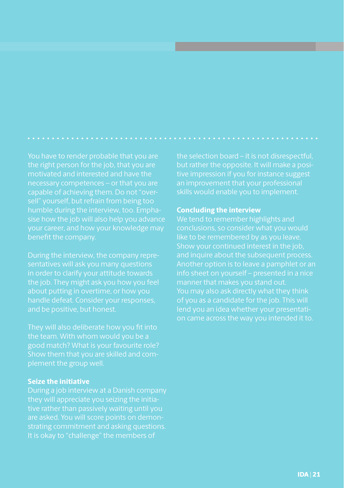You have to render probable that you are the right person for the job, that you are motivated and interested and have the necessary competences – or that you are capable of achieving them. Do not "oversell" yourself, but refrain from being too humble during the interview, too. Emphasise how the job will also help you advance benefit the company.

During the interview, the company representatives will ask you many questions in order to clarify your attitude towards the job. They might ask you how you feel about putting in overtime, or how you handle defeat. Consider your responses, and be positive, but honest.

They will also deliberate how you fit into the team. With whom would you be a good match? What is your favourite role? Show them that you are skilled and com-

#### **Seize the initiative**

they will appreciate you seizing the initiative rather than passively waiting until you are asked. You will score points on demon-It is okay to "challenge" the members of

but rather the opposite. It will make a positive impression if you for instance suggest an improvement that your professional skills would enable you to implement.

#### **Concluding the interview**

We tend to remember highlights and conclusions, so consider what you would like to be remembered by as you leave. Show your continued interest in the job, and inquire about the subsequent process. Another option is to leave a pamphlet or an info sheet on yourself – presented in a nice manner that makes you stand out. You may also ask directly what they think of you as a candidate for the job. This will lend you an idea whether your presentati-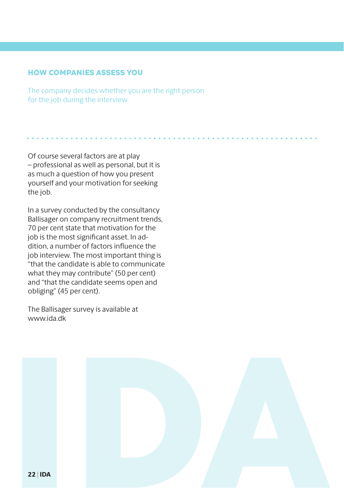## HOW COMPANIES ASSESS YOU

The company decides whether you are the right person for the job during the interview.

Of course several factors are at play – professional as well as personal, but it is as much a question of how you present yourself and your motivation for seeking the job.

In a survey conducted by the consultancy Ballisager on company recruitment trends, 70 per cent state that motivation for the job is the most significant asset. In addition, a number of factors influence the job interview. The most important thing is "that the candidate is able to communicate what they may contribute" (50 per cent) and "that the candidate seems open and obliging" (45 per cent).

The Ballisager survey is available at www.ida.dk

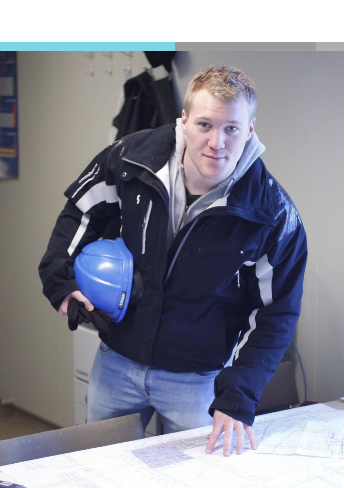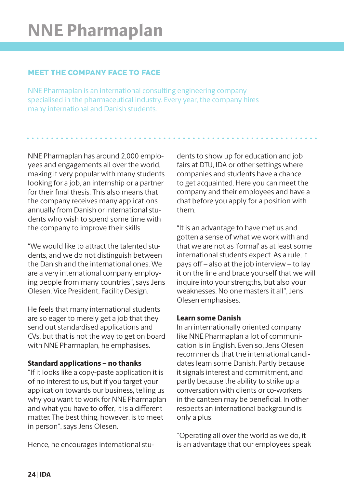**MEET THE COMPANY FACE TO FACE**<br>NNE Pharmaplan is an international consulting engineering company<br>specialised in the pharmaceutical industry. Every year, the company hires<br>many international and Danish students. NNE Pharmaplan is an international consulting engineering company specialised in the pharmaceutical industry. Every year, the company hires many international and Danish students.

NNE Pharmaplan has around 2,000 employees and engagements all over the world, making it very popular with many students looking for a job, an internship or a partner for their final thesis. This also means that the company receives many applications annually from Danish or international students who wish to spend some time with the company to improve their skills.

"We would like to attract the talented students, and we do not distinguish between the Danish and the international ones. We are a very international company employing people from many countries", says Jens Olesen, Vice President, Facility Design.

He feels that many international students are so eager to merely get a job that they send out standardised applications and CVs, but that is not the way to get on board with NNE Pharmaplan, he emphasises.

## **Standard applications – no thanks**

"If it looks like a copy-paste application it is of no interest to us, but if you target your application towards our business, telling us why you want to work for NNE Pharmaplan and what you have to offer, it is a different matter. The best thing, however, is to meet in person", says Jens Olesen.

Hence, he encourages international stu-

dents to show up for education and job fairs at DTU, IDA or other settings where companies and students have a chance to get acquainted. Here you can meet the company and their employees and have a chat before you apply for a position with them.

"It is an advantage to have met us and gotten a sense of what we work with and that we are not as 'formal' as at least some international students expect. As a rule, it pays off – also at the job interview – to lay it on the line and brace yourself that we will inquire into your strengths, but also your weaknesses. No one masters it all", Jens Olesen emphasises.

## **Learn some Danish**

In an internationally oriented company like NNE Pharmaplan a lot of communication is in English. Even so, Jens Olesen recommends that the international candidates learn some Danish. Partly because it signals interest and commitment, and partly because the ability to strike up a conversation with clients or co-workers in the canteen may be beneficial. In other respects an international background is only a plus.

"Operating all over the world as we do, it is an advantage that our employees speak